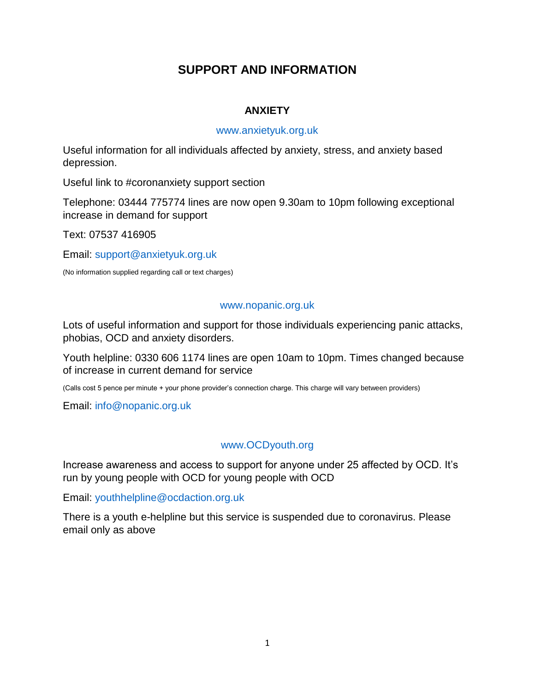# **SUPPORT AND INFORMATION**

### **ANXIETY**

#### [www.anxietyuk.org.uk](http://www.anxietyuk.org.uk/)

Useful information for all individuals affected by anxiety, stress, and anxiety based depression.

Useful link to #coronanxiety support section

Telephone: 03444 775774 lines are now open 9.30am to 10pm following exceptional increase in demand for support

Text: 07537 416905

Email: [support@anxietyuk.org.uk](mailto:support@anxietyuk.org.uk)

(No information supplied regarding call or text charges)

### [www.nopanic.org.uk](http://www.nopanic.org.uk/)

Lots of useful information and support for those individuals experiencing panic attacks, phobias, OCD and anxiety disorders.

Youth helpline: 0330 606 1174 lines are open 10am to 10pm. Times changed because of increase in current demand for service

(Calls cost 5 pence per minute + your phone provider's connection charge. This charge will vary between providers)

Email: [info@nopanic.org.uk](mailto:info@nopanic.org.uk)

## [www.OCDyouth.org](http://www.ocdyouth.org/)

Increase awareness and access to support for anyone under 25 affected by OCD. It's run by young people with OCD for young people with OCD

Email: [youthhelpline@ocdaction.org.uk](mailto:youthhelpline@ocdaction.org.uk)

There is a youth e-helpline but this service is suspended due to coronavirus. Please email only as above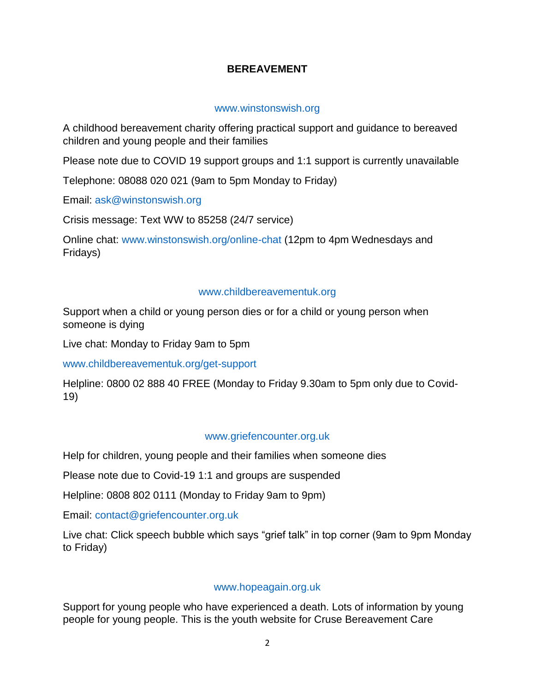## **BEREAVEMENT**

### [www.winstonswish.org](http://www.winstonswish.org/)

A childhood bereavement charity offering practical support and guidance to bereaved children and young people and their families

Please note due to COVID 19 support groups and 1:1 support is currently unavailable

Telephone: 08088 020 021 (9am to 5pm Monday to Friday)

Email: [ask@winstonswish.org](mailto:ask@winstonswish.org)

Crisis message: Text WW to 85258 (24/7 service)

Online chat: [www.winstonswish.org/online-chat](http://www.winstonswish.org/online-chat) (12pm to 4pm Wednesdays and Fridays)

### [www.childbereavementuk.org](http://www.childbereavementuk.org/)

Support when a child or young person dies or for a child or young person when someone is dying

Live chat: Monday to Friday 9am to 5pm

[www.childbereavementuk.org/get-support](http://www.childbereavementuk.org/get-support)

Helpline: 0800 02 888 40 FREE (Monday to Friday 9.30am to 5pm only due to Covid-19)

### [www.griefencounter.org.uk](http://www.griefencounter.org.uk/)

Help for children, young people and their families when someone dies

Please note due to Covid-19 1:1 and groups are suspended

Helpline: 0808 802 0111 (Monday to Friday 9am to 9pm)

Email: [contact@griefencounter.org.uk](mailto:contact@griefencounter.org.uk)

Live chat: Click speech bubble which says "grief talk" in top corner (9am to 9pm Monday to Friday)

## [www.hopeagain.org.uk](http://www.hopeagain.org.uk/)

Support for young people who have experienced a death. Lots of information by young people for young people. This is the youth website for Cruse Bereavement Care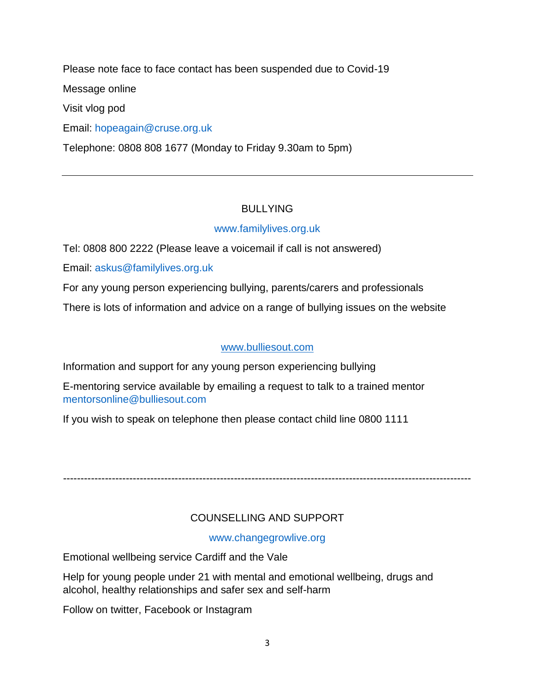Please note face to face contact has been suspended due to Covid-19

Message online

Visit vlog pod

Email: [hopeagain@cruse.org.uk](mailto:hopeagain@cruse.org.uk)

Telephone: 0808 808 1677 (Monday to Friday 9.30am to 5pm)

# BULLYING

# [www.familylives.org.uk](http://www.familylives.org.uk/)

Tel: 0808 800 2222 (Please leave a voicemail if call is not answered)

Email: [askus@familylives.org.uk](mailto:askus@familylives.org.uk)

For any young person experiencing bullying, parents/carers and professionals

There is lots of information and advice on a range of bullying issues on the website

## [www.bulliesout.com](http://www.bulliesout.com/)

Information and support for any young person experiencing bullying

E-mentoring service available by emailing a request to talk to a trained mentor [mentorsonline@bulliesout.com](mailto:mentorsonline@bulliesout.com)

If you wish to speak on telephone then please contact child line 0800 1111

---------------------------------------------------------------------------------------------------------------------

# COUNSELLING AND SUPPORT

[www.changegrowlive.org](http://www.changegrowlive.org/)

Emotional wellbeing service Cardiff and the Vale

Help for young people under 21 with mental and emotional wellbeing, drugs and alcohol, healthy relationships and safer sex and self-harm

Follow on twitter, Facebook or Instagram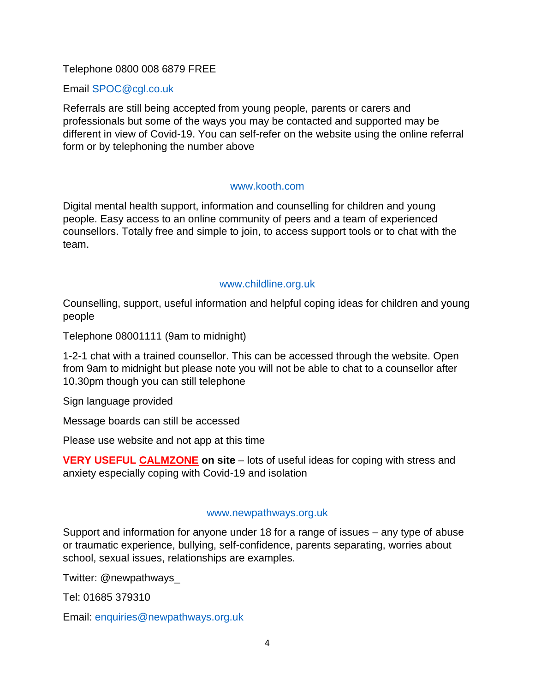### Telephone 0800 008 6879 FREE

### Email [SPOC@cgl.co.uk](mailto:SPOC@cgl.co.uk)

Referrals are still being accepted from young people, parents or carers and professionals but some of the ways you may be contacted and supported may be different in view of Covid-19. You can self-refer on the website using the online referral form or by telephoning the number above

### [www.kooth.com](http://www.kooth.com/)

Digital mental health support, information and counselling for children and young people. Easy access to an online community of peers and a team of experienced counsellors. Totally free and simple to join, to access support tools or to chat with the team.

### [www.childline.org.uk](http://www.childline.org.uk/)

Counselling, support, useful information and helpful coping ideas for children and young people

Telephone 08001111 (9am to midnight)

1-2-1 chat with a trained counsellor. This can be accessed through the website. Open from 9am to midnight but please note you will not be able to chat to a counsellor after 10.30pm though you can still telephone

Sign language provided

Message boards can still be accessed

Please use website and not app at this time

**VERY USEFUL CALMZONE on site** – lots of useful ideas for coping with stress and anxiety especially coping with Covid-19 and isolation

#### [www.newpathways.org.uk](http://www.newpathways.org.uk/)

Support and information for anyone under 18 for a range of issues – any type of abuse or traumatic experience, bullying, self-confidence, parents separating, worries about school, sexual issues, relationships are examples.

Twitter: @newpathways\_

Tel: 01685 379310

Email: [enquiries@newpathways.org.uk](mailto:enquiries@newpathways.org.uk)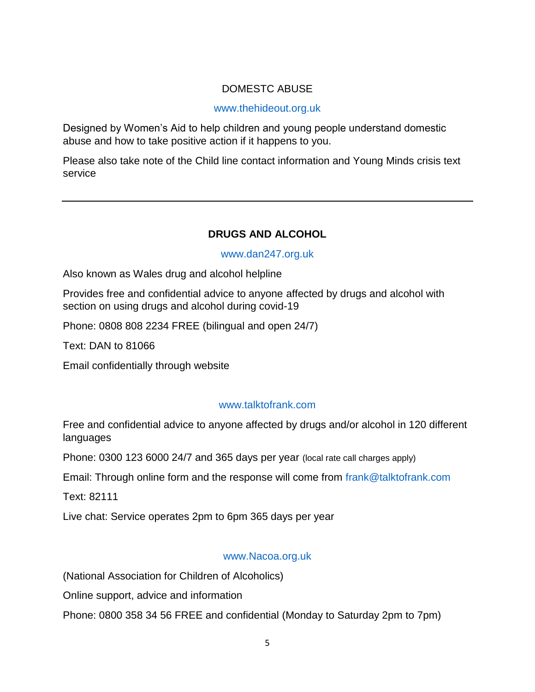## DOMESTC ABUSE

### [www.thehideout.org.uk](http://www.thehideout.org.uk/)

Designed by Women's Aid to help children and young people understand domestic abuse and how to take positive action if it happens to you.

Please also take note of the Child line contact information and Young Minds crisis text service

## **DRUGS AND ALCOHOL**

### [www.dan247.org.uk](http://www.dan247.org.uk/)

Also known as Wales drug and alcohol helpline

Provides free and confidential advice to anyone affected by drugs and alcohol with section on using drugs and alcohol during covid-19

Phone: 0808 808 2234 FREE (bilingual and open 24/7)

Text: DAN to 81066

Email confidentially through website

### [www.talktofrank.com](http://www.talktofrank.com/)

Free and confidential advice to anyone affected by drugs and/or alcohol in 120 different languages

Phone: 0300 123 6000 24/7 and 365 days per year (local rate call charges apply)

Email: Through online form and the response will come from [frank@talktofrank.com](mailto:frank@talktofrank.com)

Text: 82111

Live chat: Service operates 2pm to 6pm 365 days per year

#### [www.Nacoa.org.uk](http://www.nacoa.org.uk/)

(National Association for Children of Alcoholics)

Online support, advice and information

Phone: 0800 358 34 56 FREE and confidential (Monday to Saturday 2pm to 7pm)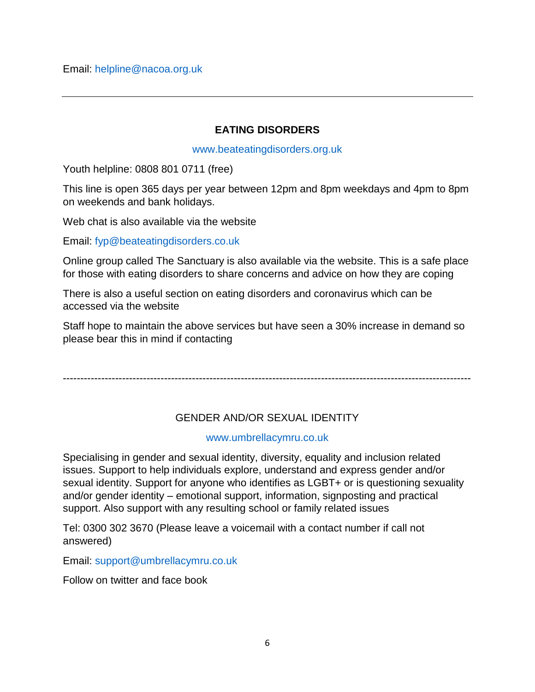### **EATING DISORDERS**

#### [www.beateatingdisorders.org.uk](http://www.beateatingdisorders.org.uk/)

Youth helpline: 0808 801 0711 (free)

This line is open 365 days per year between 12pm and 8pm weekdays and 4pm to 8pm on weekends and bank holidays.

Web chat is also available via the website

Email: [fyp@beateatingdisorders.co.uk](mailto:fyp@beateatingdisorders.co.uk)

Online group called The Sanctuary is also available via the website. This is a safe place for those with eating disorders to share concerns and advice on how they are coping

There is also a useful section on eating disorders and coronavirus which can be accessed via the website

Staff hope to maintain the above services but have seen a 30% increase in demand so please bear this in mind if contacting

---------------------------------------------------------------------------------------------------------------------

# GENDER AND/OR SEXUAL IDENTITY

### [www.umbrellacymru.co.uk](http://www.umbrellacymru.co.uk/)

Specialising in gender and sexual identity, diversity, equality and inclusion related issues. Support to help individuals explore, understand and express gender and/or sexual identity. Support for anyone who identifies as LGBT+ or is questioning sexuality and/or gender identity – emotional support, information, signposting and practical support. Also support with any resulting school or family related issues

Tel: 0300 302 3670 (Please leave a voicemail with a contact number if call not answered)

Email: [support@umbrellacymru.co.uk](mailto:support@umbrellacymru.co.uk)

Follow on twitter and face book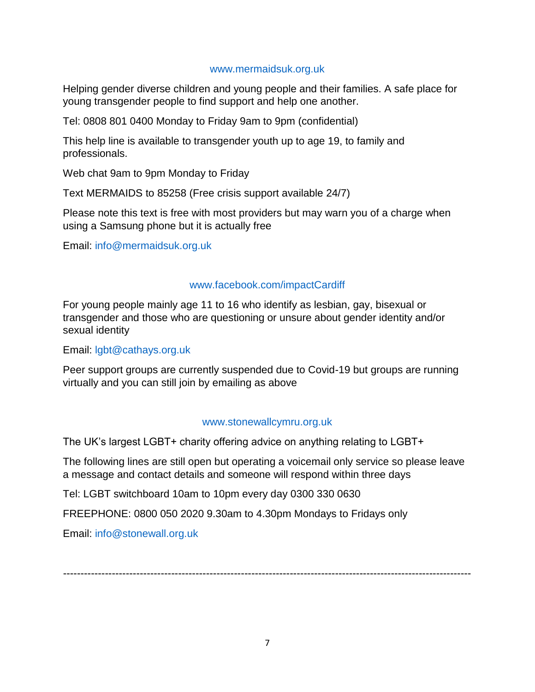### [www.mermaidsuk.org.uk](http://www.mermaidsuk.org.uk/)

Helping gender diverse children and young people and their families. A safe place for young transgender people to find support and help one another.

Tel: 0808 801 0400 Monday to Friday 9am to 9pm (confidential)

This help line is available to transgender youth up to age 19, to family and professionals.

Web chat 9am to 9pm Monday to Friday

Text MERMAIDS to 85258 (Free crisis support available 24/7)

Please note this text is free with most providers but may warn you of a charge when using a Samsung phone but it is actually free

Email: [info@mermaidsuk.org.uk](mailto:info@mermaidsuk.org.uk)

### [www.facebook.com/impactCardiff](http://www.facebook.com/impactCardiff)

For young people mainly age 11 to 16 who identify as lesbian, gay, bisexual or transgender and those who are questioning or unsure about gender identity and/or sexual identity

Email: [lgbt@cathays.org.uk](mailto:lgbt@cathays.org.uk)

Peer support groups are currently suspended due to Covid-19 but groups are running virtually and you can still join by emailing as above

### [www.stonewallcymru.org.uk](http://www.stonewallcymru.org.uk/)

The UK's largest LGBT+ charity offering advice on anything relating to LGBT+

The following lines are still open but operating a voicemail only service so please leave a message and contact details and someone will respond within three days

Tel: LGBT switchboard 10am to 10pm every day 0300 330 0630

FREEPHONE: 0800 050 2020 9.30am to 4.30pm Mondays to Fridays only

Email: [info@stonewall.org.uk](mailto:info@stonewall.org.uk)

---------------------------------------------------------------------------------------------------------------------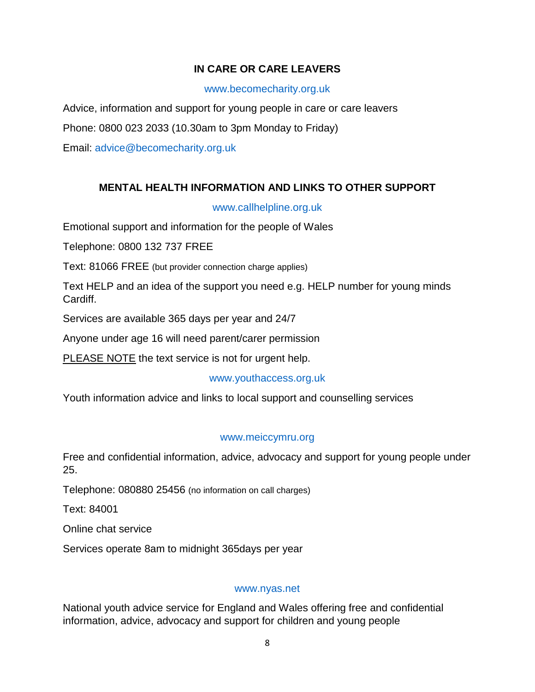## **IN CARE OR CARE LEAVERS**

### [www.becomecharity.org.uk](http://www.becomecharity.org.uk/)

Advice, information and support for young people in care or care leavers

Phone: 0800 023 2033 (10.30am to 3pm Monday to Friday)

Email: [advice@becomecharity.org.uk](mailto:advice@becomecharity.org.uk)

## **MENTAL HEALTH INFORMATION AND LINKS TO OTHER SUPPORT**

### [www.callhelpline.org.uk](http://www.callhelpline.org.uk/)

Emotional support and information for the people of Wales

Telephone: 0800 132 737 FREE

Text: 81066 FREE (but provider connection charge applies)

Text HELP and an idea of the support you need e.g. HELP number for young minds Cardiff.

Services are available 365 days per year and 24/7

Anyone under age 16 will need parent/carer permission

PLEASE NOTE the text service is not for urgent help.

### [www.youthaccess.org.uk](http://www.youthaccess.org.uk/)

Youth information advice and links to local support and counselling services

### [www.meiccymru.org](http://www.meiccymru.org/)

Free and confidential information, advice, advocacy and support for young people under 25.

Telephone: 080880 25456 (no information on call charges)

Text: 84001

Online chat service

Services operate 8am to midnight 365days per year

#### [www.nyas.net](http://www.nyas.net/)

National youth advice service for England and Wales offering free and confidential information, advice, advocacy and support for children and young people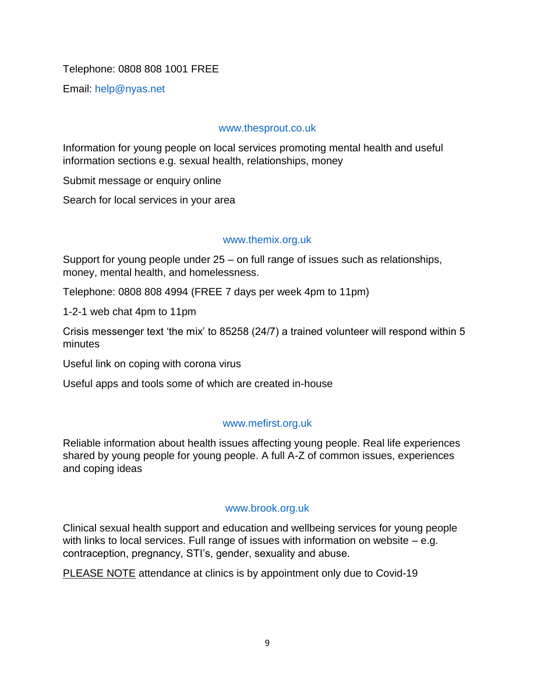## Telephone: 0808 808 1001 FREE

Email: [help@nyas.net](mailto:help@nyas.net)

### [www.thesprout.co.uk](http://www.thesprout.co.uk/)

Information for young people on local services promoting mental health and useful information sections e.g. sexual health, relationships, money

Submit message or enquiry online

Search for local services in your area

### [www.themix.org.uk](http://www.themix.org.uk/)

Support for young people under 25 – on full range of issues such as relationships, money, mental health, and homelessness.

Telephone: 0808 808 4994 (FREE 7 days per week 4pm to 11pm)

1-2-1 web chat 4pm to 11pm

Crisis messenger text 'the mix' to 85258 (24/7) a trained volunteer will respond within 5 minutes

Useful link on coping with corona virus

Useful apps and tools some of which are created in-house

#### [www.mefirst.org.uk](http://www.mefirst.org.uk/)

Reliable information about health issues affecting young people. Real life experiences shared by young people for young people. A full A-Z of common issues, experiences and coping ideas

#### [www.brook.org.uk](http://www.brook.org.uk/)

Clinical sexual health support and education and wellbeing services for young people with links to local services. Full range of issues with information on website – e.g. contraception, pregnancy, STI's, gender, sexuality and abuse.

PLEASE NOTE attendance at clinics is by appointment only due to Covid-19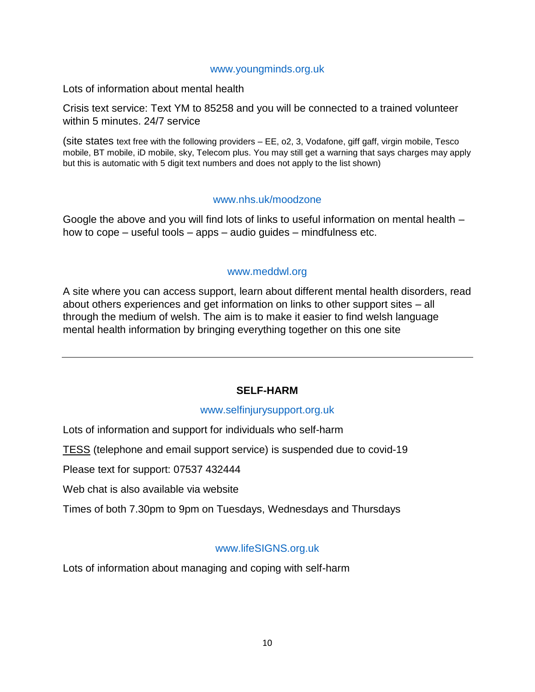#### [www.youngminds.org.uk](http://www.youngminds.org.uk/)

Lots of information about mental health

Crisis text service: Text YM to 85258 and you will be connected to a trained volunteer within 5 minutes. 24/7 service

(site states text free with the following providers – EE, o2, 3, Vodafone, giff gaff, virgin mobile, Tesco mobile, BT mobile, iD mobile, sky, Telecom plus. You may still get a warning that says charges may apply but this is automatic with 5 digit text numbers and does not apply to the list shown)

#### [www.nhs.uk/moodzone](http://www.nhs.uk/moodzone)

Google the above and you will find lots of links to useful information on mental health – how to cope – useful tools – apps – audio guides – mindfulness etc.

### [www.meddwl.org](http://www.meddwl.org/)

A site where you can access support, learn about different mental health disorders, read about others experiences and get information on links to other support sites – all through the medium of welsh. The aim is to make it easier to find welsh language mental health information by bringing everything together on this one site

## **SELF-HARM**

#### [www.selfinjurysupport.org.uk](http://www.selfinjurysupport.org.uk/)

Lots of information and support for individuals who self-harm

TESS (telephone and email support service) is suspended due to covid-19

Please text for support: 07537 432444

Web chat is also available via website

Times of both 7.30pm to 9pm on Tuesdays, Wednesdays and Thursdays

### [www.lifeSIGNS.org.uk](http://www.lifesigns.org.uk/)

Lots of information about managing and coping with self-harm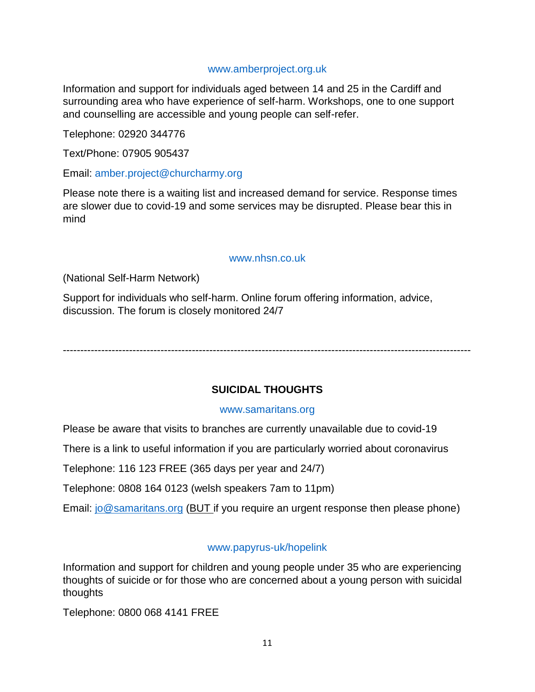### [www.amberproject.org.uk](http://www.amberproject.org.uk/)

Information and support for individuals aged between 14 and 25 in the Cardiff and surrounding area who have experience of self-harm. Workshops, one to one support and counselling are accessible and young people can self-refer.

Telephone: 02920 344776

Text/Phone: 07905 905437

Email: [amber.project@churcharmy.org](mailto:amber.project@churcharmy.org)

Please note there is a waiting list and increased demand for service. Response times are slower due to covid-19 and some services may be disrupted. Please bear this in mind

#### [www.nhsn.co.uk](http://www.nhsn.co.uk/)

(National Self-Harm Network)

Support for individuals who self-harm. Online forum offering information, advice, discussion. The forum is closely monitored 24/7

---------------------------------------------------------------------------------------------------------------------

### **SUICIDAL THOUGHTS**

#### [www.samaritans.org](http://www.samaritans.org/)

Please be aware that visits to branches are currently unavailable due to covid-19

There is a link to useful information if you are particularly worried about coronavirus

Telephone: 116 123 FREE (365 days per year and 24/7)

Telephone: 0808 164 0123 (welsh speakers 7am to 11pm)

Email: [jo@samaritans.org](mailto:jo@samaritans.org) (BUT if you require an urgent response then please phone)

#### [www.papyrus-uk/hopelink](http://www.papyrus-uk/hopelink)

Information and support for children and young people under 35 who are experiencing thoughts of suicide or for those who are concerned about a young person with suicidal thoughts

Telephone: 0800 068 4141 FREE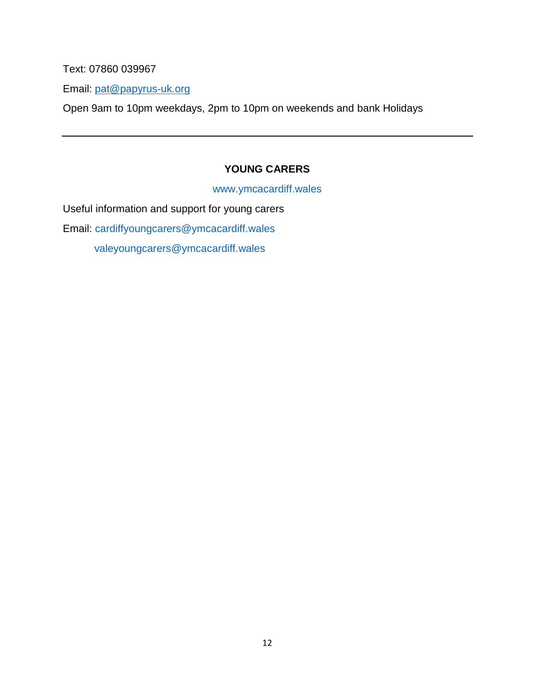Text: 07860 039967

Email: [pat@papyrus-uk.org](mailto:pat@papyrus-uk.org)

Open 9am to 10pm weekdays, 2pm to 10pm on weekends and bank Holidays

# **YOUNG CARERS**

[www.ymcacardiff.wales](http://www.ymcacardiff.wales/)

Useful information and support for young carers Email: [cardiffyoungcarers@ymcacardiff.wales](mailto:cardiffyoungcarers@ymcacardiff.wales) [valeyoungcarers@ymcacardiff.wales](mailto:valeyoungcarers@ymcacardiff.wales)